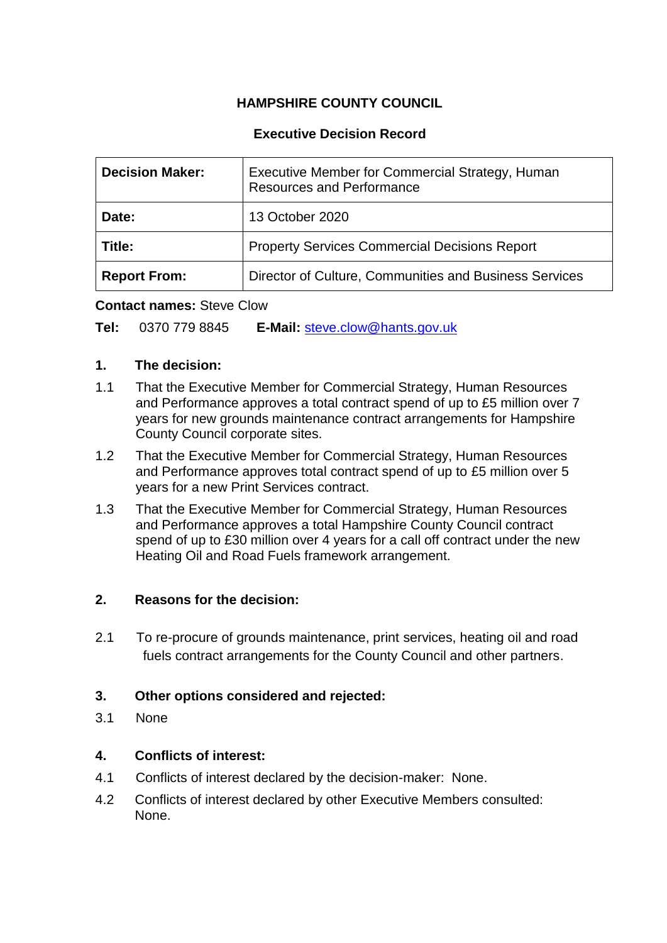# **HAMPSHIRE COUNTY COUNCIL**

# **Executive Decision Record**

| <b>Decision Maker:</b> | Executive Member for Commercial Strategy, Human<br><b>Resources and Performance</b> |
|------------------------|-------------------------------------------------------------------------------------|
| Date:                  | 13 October 2020                                                                     |
| <b>Title:</b>          | <b>Property Services Commercial Decisions Report</b>                                |
| <b>Report From:</b>    | Director of Culture, Communities and Business Services                              |

#### **Contact names:** Steve Clow

**Tel:** 0370 779 8845 **E-Mail:** [steve.clow@hants.gov.uk](mailto:steve.clow@hants.gov.uk)

#### **1. The decision:**

- 1.1 That the Executive Member for Commercial Strategy, Human Resources and Performance approves a total contract spend of up to £5 million over 7 years for new grounds maintenance contract arrangements for Hampshire County Council corporate sites.
- 1.2 That the Executive Member for Commercial Strategy, Human Resources and Performance approves total contract spend of up to £5 million over 5 years for a new Print Services contract.
- 1.3 That the Executive Member for Commercial Strategy, Human Resources and Performance approves a total Hampshire County Council contract spend of up to £30 million over 4 years for a call off contract under the new Heating Oil and Road Fuels framework arrangement.

## **2. Reasons for the decision:**

2.1 To re-procure of grounds maintenance, print services, heating oil and road fuels contract arrangements for the County Council and other partners.

## **3. Other options considered and rejected:**

3.1 None

# **4. Conflicts of interest:**

- 4.1 Conflicts of interest declared by the decision-maker: None.
- 4.2 Conflicts of interest declared by other Executive Members consulted: None.